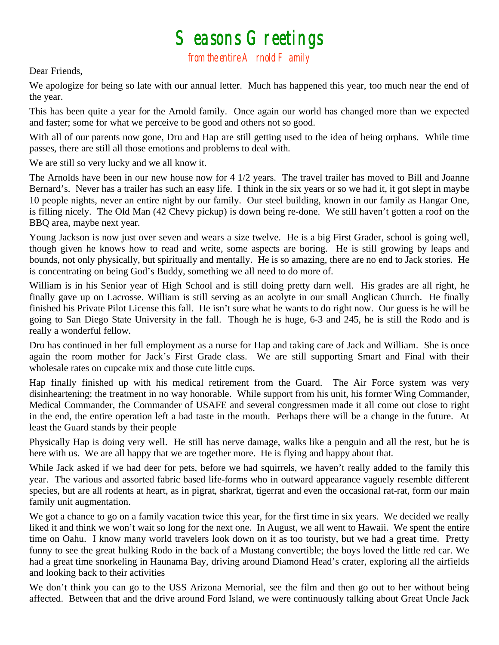## $S$ easons  $G$ reetings<br>from the entire  $A$  rnold  $F$  amily

Dear Friends,

We apologize for being so late with our annual letter. Much has happened this year, too much near the end of the year.

This has been quite a year for the Arnold family. Once again our world has changed more than we expected and faster; some for what we perceive to be good and others not so good.

With all of our parents now gone, Dru and Hap are still getting used to the idea of being orphans. While time passes, there are still all those emotions and problems to deal with.

We are still so very lucky and we all know it.

The Arnolds have been in our new house now for 4 1/2 years. The travel trailer has moved to Bill and Joanne Bernard's. Never has a trailer has such an easy life. I think in the six years or so we had it, it got slept in maybe 10 people nights, never an entire night by our family. Our steel building, known in our family as Hangar One, is filling nicely. The Old Man (42 Chevy pickup) is down being re-done. We still haven't gotten a roof on the BBQ area, maybe next year.

Young Jackson is now just over seven and wears a size twelve. He is a big First Grader, school is going well, though given he knows how to read and write, some aspects are boring. He is still growing by leaps and bounds, not only physically, but spiritually and mentally. He is so amazing, there are no end to Jack stories. He is concentrating on being God's Buddy, something we all need to do more of.

William is in his Senior year of High School and is still doing pretty darn well. His grades are all right, he finally gave up on Lacrosse. William is still serving as an acolyte in our small Anglican Church. He finally finished his Private Pilot License this fall. He isn't sure what he wants to do right now. Our guess is he will be going to San Diego State University in the fall. Though he is huge, 6-3 and 245, he is still the Rodo and is really a wonderful fellow.

Dru has continued in her full employment as a nurse for Hap and taking care of Jack and William. She is once again the room mother for Jack's First Grade class. We are still supporting Smart and Final with their wholesale rates on cupcake mix and those cute little cups.

Hap finally finished up with his medical retirement from the Guard. The Air Force system was very disinheartening; the treatment in no way honorable. While support from his unit, his former Wing Commander, Medical Commander, the Commander of USAFE and several congressmen made it all come out close to right in the end, the entire operation left a bad taste in the mouth. Perhaps there will be a change in the future. At least the Guard stands by their people

Physically Hap is doing very well. He still has nerve damage, walks like a penguin and all the rest, but he is here with us. We are all happy that we are together more. He is flying and happy about that.

While Jack asked if we had deer for pets, before we had squirrels, we haven't really added to the family this year. The various and assorted fabric based life-forms who in outward appearance vaguely resemble different species, but are all rodents at heart, as in pigrat, sharkrat, tigerrat and even the occasional rat-rat, form our main family unit augmentation.

We got a chance to go on a family vacation twice this year, for the first time in six years. We decided we really liked it and think we won't wait so long for the next one. In August, we all went to Hawaii. We spent the entire time on Oahu. I know many world travelers look down on it as too touristy, but we had a great time. Pretty funny to see the great hulking Rodo in the back of a Mustang convertible; the boys loved the little red car. We had a great time snorkeling in Haunama Bay, driving around Diamond Head's crater, exploring all the airfields and looking back to their activities

We don't think you can go to the USS Arizona Memorial, see the film and then go out to her without being affected. Between that and the drive around Ford Island, we were continuously talking about Great Uncle Jack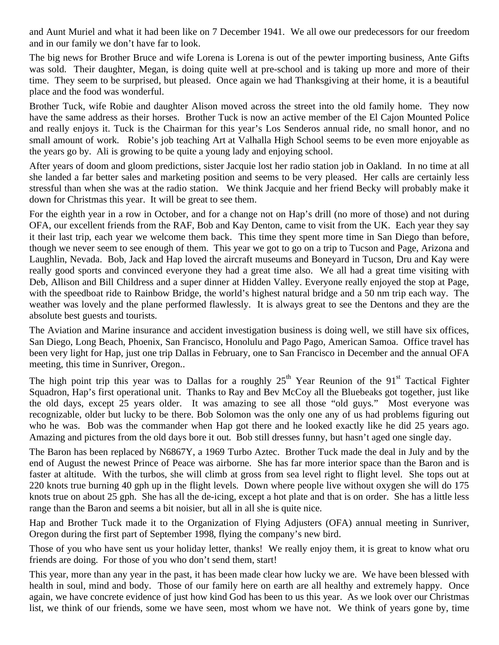and Aunt Muriel and what it had been like on 7 December 1941. We all owe our predecessors for our freedom and in our family we don't have far to look.

The big news for Brother Bruce and wife Lorena is Lorena is out of the pewter importing business, Ante Gifts was sold. Their daughter, Megan, is doing quite well at pre-school and is taking up more and more of their time. They seem to be surprised, but pleased. Once again we had Thanksgiving at their home, it is a beautiful place and the food was wonderful.

Brother Tuck, wife Robie and daughter Alison moved across the street into the old family home. They now have the same address as their horses. Brother Tuck is now an active member of the El Cajon Mounted Police and really enjoys it. Tuck is the Chairman for this year's Los Senderos annual ride, no small honor, and no small amount of work. Robie's job teaching Art at Valhalla High School seems to be even more enjoyable as the years go by. Ali is growing to be quite a young lady and enjoying school.

After years of doom and gloom predictions, sister Jacquie lost her radio station job in Oakland. In no time at all she landed a far better sales and marketing position and seems to be very pleased. Her calls are certainly less stressful than when she was at the radio station. We think Jacquie and her friend Becky will probably make it down for Christmas this year. It will be great to see them.

For the eighth year in a row in October, and for a change not on Hap's drill (no more of those) and not during OFA, our excellent friends from the RAF, Bob and Kay Denton, came to visit from the UK. Each year they say it their last trip, each year we welcome them back. This time they spent more time in San Diego than before, though we never seem to see enough of them. This year we got to go on a trip to Tucson and Page, Arizona and Laughlin, Nevada. Bob, Jack and Hap loved the aircraft museums and Boneyard in Tucson, Dru and Kay were really good sports and convinced everyone they had a great time also. We all had a great time visiting with Deb, Allison and Bill Childress and a super dinner at Hidden Valley. Everyone really enjoyed the stop at Page, with the speedboat ride to Rainbow Bridge, the world's highest natural bridge and a 50 nm trip each way. The weather was lovely and the plane performed flawlessly. It is always great to see the Dentons and they are the absolute best guests and tourists.

The Aviation and Marine insurance and accident investigation business is doing well, we still have six offices, San Diego, Long Beach, Phoenix, San Francisco, Honolulu and Pago Pago, American Samoa. Office travel has been very light for Hap, just one trip Dallas in February, one to San Francisco in December and the annual OFA meeting, this time in Sunriver, Oregon..

The high point trip this year was to Dallas for a roughly  $25<sup>th</sup>$  Year Reunion of the 91<sup>st</sup> Tactical Fighter Squadron, Hap's first operational unit. Thanks to Ray and Bev McCoy all the Bluebeaks got together, just like the old days, except 25 years older. It was amazing to see all those "old guys." Most everyone was recognizable, older but lucky to be there. Bob Solomon was the only one any of us had problems figuring out who he was. Bob was the commander when Hap got there and he looked exactly like he did 25 years ago. Amazing and pictures from the old days bore it out. Bob still dresses funny, but hasn't aged one single day.

The Baron has been replaced by N6867Y, a 1969 Turbo Aztec. Brother Tuck made the deal in July and by the end of August the newest Prince of Peace was airborne. She has far more interior space than the Baron and is faster at altitude. With the turbos, she will climb at gross from sea level right to flight level. She tops out at 220 knots true burning 40 gph up in the flight levels. Down where people live without oxygen she will do 175 knots true on about 25 gph. She has all the de-icing, except a hot plate and that is on order. She has a little less range than the Baron and seems a bit noisier, but all in all she is quite nice.

Hap and Brother Tuck made it to the Organization of Flying Adjusters (OFA) annual meeting in Sunriver, Oregon during the first part of September 1998, flying the company's new bird.

Those of you who have sent us your holiday letter, thanks! We really enjoy them, it is great to know what oru friends are doing. For those of you who don't send them, start!

This year, more than any year in the past, it has been made clear how lucky we are. We have been blessed with health in soul, mind and body. Those of our family here on earth are all healthy and extremely happy. Once again, we have concrete evidence of just how kind God has been to us this year. As we look over our Christmas list, we think of our friends, some we have seen, most whom we have not. We think of years gone by, time